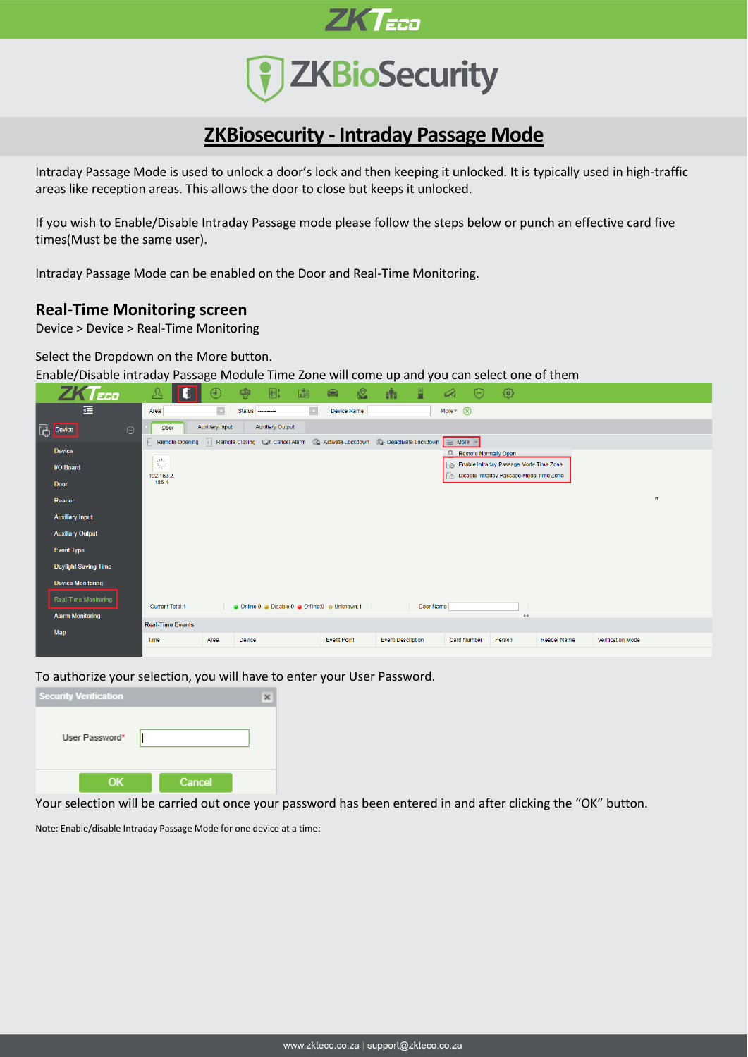



## **ZKBiosecurity - Intraday Passage Mode**

Intraday Passage Mode is used to unlock a door's lock and then keeping it unlocked. It is typically used in high-traffic areas like reception areas. This allows the door to close but keeps it unlocked.

If you wish to Enable/Disable Intraday Passage mode please follow the steps below or punch an effective card five times(Must be the same user).

Intraday Passage Mode can be enabled on the Door and Real-Time Monitoring.

## **Real-Time Monitoring screen**

Device > Device > Real-Time Monitoring

Select the Dropdown on the More button.

Enable/Disable intraday Passage Module Time Zone will come up and you can select one of them



To authorize your selection, you will have to enter your User Password.



Your selection will be carried out once your password has been entered in and after clicking the "OK" button.

Note: Enable/disable Intraday Passage Mode for one device at a time: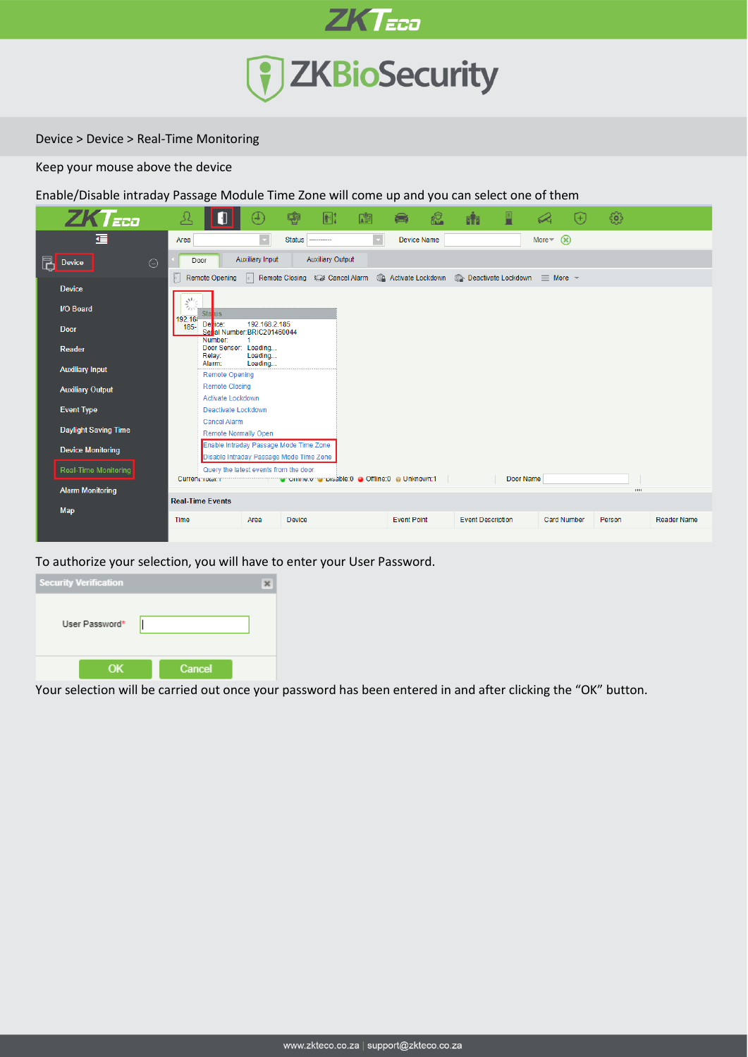

Device > Device > Real-Time Monitoring

Keep your mouse above the device

Enable/Disable intraday Passage Module Time Zone will come up and you can select one of them



To authorize your selection, you will have to enter your User Password.



Your selection will be carried out once your password has been entered in and after clicking the "OK" button.